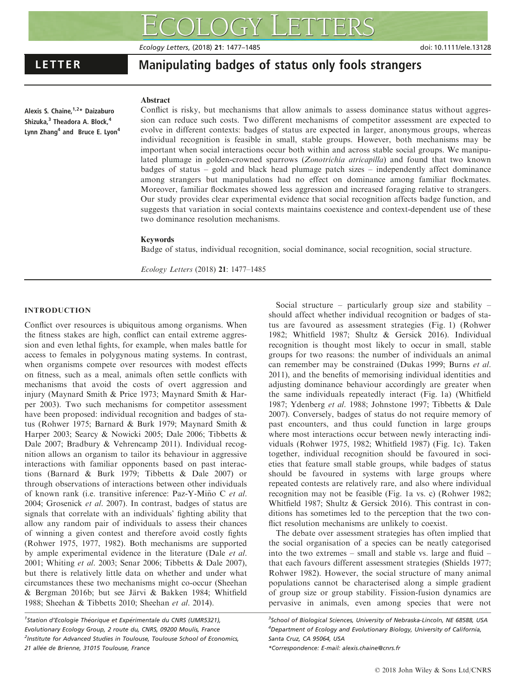# Y I FT

Ecology Letters, (2018) 21: 1477–1485 doi: 10.1111/ele.13128

Alexis S. Chaine.<sup>1,2</sup>\* Daizaburo Shizuka, $3$  Theadora A. Block, $4$ Lynn Zhang<sup>4</sup> and Bruce E. Lyon<sup>4</sup>

# LETTER Manipulating badges of status only fools strangers

# Abstract

Conflict is risky, but mechanisms that allow animals to assess dominance status without aggression can reduce such costs. Two different mechanisms of competitor assessment are expected to evolve in different contexts: badges of status are expected in larger, anonymous groups, whereas individual recognition is feasible in small, stable groups. However, both mechanisms may be important when social interactions occur both within and across stable social groups. We manipulated plumage in golden-crowned sparrows (Zonotrichia atricapilla) and found that two known badges of status – gold and black head plumage patch sizes – independently affect dominance among strangers but manipulations had no effect on dominance among familiar flockmates. Moreover, familiar flockmates showed less aggression and increased foraging relative to strangers. Our study provides clear experimental evidence that social recognition affects badge function, and suggests that variation in social contexts maintains coexistence and context-dependent use of these two dominance resolution mechanisms.

#### Keywords

Badge of status, individual recognition, social dominance, social recognition, social structure.

Ecology Letters (2018) 21: 1477–1485

## INTRODUCTION

Conflict over resources is ubiquitous among organisms. When the fitness stakes are high, conflict can entail extreme aggression and even lethal fights, for example, when males battle for access to females in polygynous mating systems. In contrast, when organisms compete over resources with modest effects on fitness, such as a meal, animals often settle conflicts with mechanisms that avoid the costs of overt aggression and injury (Maynard Smith & Price 1973; Maynard Smith & Harper 2003). Two such mechanisms for competitor assessment have been proposed: individual recognition and badges of status (Rohwer 1975; Barnard & Burk 1979; Maynard Smith & Harper 2003; Searcy & Nowicki 2005; Dale 2006; Tibbetts & Dale 2007; Bradbury & Vehrencamp 2011). Individual recognition allows an organism to tailor its behaviour in aggressive interactions with familiar opponents based on past interactions (Barnard & Burk 1979; Tibbetts & Dale 2007) or through observations of interactions between other individuals of known rank (i.e. transitive inference: Paz-Y-Miño C et al. 2004; Grosenick et al. 2007). In contrast, badges of status are signals that correlate with an individuals' fighting ability that allow any random pair of individuals to assess their chances of winning a given contest and therefore avoid costly fights (Rohwer 1975, 1977, 1982). Both mechanisms are supported by ample experimental evidence in the literature (Dale et al. 2001; Whiting et al. 2003; Senar 2006; Tibbetts & Dale 2007), but there is relatively little data on whether and under what circumstances these two mechanisms might co-occur (Sheehan & Bergman 2016b; but see Järvi & Bakken 1984; Whitfield 1988; Sheehan & Tibbetts 2010; Sheehan et al. 2014).

Social structure – particularly group size and stability – should affect whether individual recognition or badges of status are favoured as assessment strategies (Fig. 1) (Rohwer 1982; Whitfield 1987; Shultz & Gersick 2016). Individual recognition is thought most likely to occur in small, stable groups for two reasons: the number of individuals an animal can remember may be constrained (Dukas 1999; Burns et al. 2011), and the benefits of memorising individual identities and adjusting dominance behaviour accordingly are greater when the same individuals repeatedly interact (Fig. 1a) (Whitfield 1987; Ydenberg et al. 1988; Johnstone 1997; Tibbetts & Dale 2007). Conversely, badges of status do not require memory of past encounters, and thus could function in large groups where most interactions occur between newly interacting individuals (Rohwer 1975, 1982; Whitfield 1987) (Fig. 1c). Taken together, individual recognition should be favoured in societies that feature small stable groups, while badges of status should be favoured in systems with large groups where repeated contests are relatively rare, and also where individual recognition may not be feasible (Fig. 1a vs. c) (Rohwer 1982; Whitfield 1987; Shultz & Gersick 2016). This contrast in conditions has sometimes led to the perception that the two conflict resolution mechanisms are unlikely to coexist.

The debate over assessment strategies has often implied that the social organisation of a species can be neatly categorised into the two extremes – small and stable vs. large and fluid – that each favours different assessment strategies (Shields 1977; Rohwer 1982). However, the social structure of many animal populations cannot be characterised along a simple gradient of group size or group stability. Fission-fusion dynamics are pervasive in animals, even among species that were not

\*Correspondence: E-mail: alexis.chaine@cnrs.fr

<sup>&</sup>lt;sup>1</sup>Station d'Ecologie Théorique et Expérimentale du CNRS (UMR5321), Evolutionary Ecology Group, 2 route du, CNRS, 09200 Moulis, France <sup>2</sup>Institute for Advanced Studies in Toulouse, Toulouse School of Economics, 21 allée de Brienne, 31015 Toulouse, France

<sup>&</sup>lt;sup>3</sup>School of Biological Sciences, University of Nebraska-Lincoln, NE 68588, USA <sup>4</sup>Department of Ecology and Evolutionary Biology, University of California, Santa Cruz, CA 95064, USA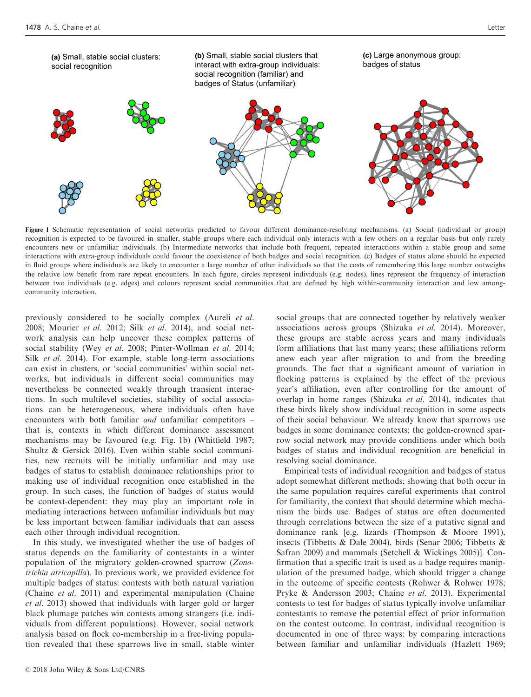

Figure 1 Schematic representation of social networks predicted to favour different dominance-resolving mechanisms. (a) Social (individual or group) recognition is expected to be favoured in smaller, stable groups where each individual only interacts with a few others on a regular basis but only rarely encounters new or unfamiliar individuals. (b) Intermediate networks that include both frequent, repeated interactions within a stable group and some interactions with extra-group individuals could favour the coexistence of both badges and social recognition. (c) Badges of status alone should be expected in fluid groups where individuals are likely to encounter a large number of other individuals so that the costs of remembering this large number outweighs the relative low benefit from rare repeat encounters. In each figure, circles represent individuals (e.g. nodes), lines represent the frequency of interaction between two individuals (e.g. edges) and colours represent social communities that are defined by high within-community interaction and low amongcommunity interaction.

previously considered to be socially complex (Aureli et al. 2008; Mourier et al. 2012; Silk et al. 2014), and social network analysis can help uncover these complex patterns of social stability (Wey et al. 2008; Pinter-Wollman et al. 2014; Silk *et al.* 2014). For example, stable long-term associations can exist in clusters, or 'social communities' within social networks, but individuals in different social communities may nevertheless be connected weakly through transient interactions. In such multilevel societies, stability of social associations can be heterogeneous, where individuals often have encounters with both familiar and unfamiliar competitors – that is, contexts in which different dominance assessment mechanisms may be favoured (e.g. Fig. 1b) (Whitfield 1987; Shultz & Gersick 2016). Even within stable social communities, new recruits will be initially unfamiliar and may use badges of status to establish dominance relationships prior to making use of individual recognition once established in the group. In such cases, the function of badges of status would be context-dependent: they may play an important role in mediating interactions between unfamiliar individuals but may be less important between familiar individuals that can assess each other through individual recognition.

In this study, we investigated whether the use of badges of status depends on the familiarity of contestants in a winter population of the migratory golden-crowned sparrow (Zonotrichia atricapilla). In previous work, we provided evidence for multiple badges of status: contests with both natural variation (Chaine et al. 2011) and experimental manipulation (Chaine et al. 2013) showed that individuals with larger gold or larger black plumage patches win contests among strangers (i.e. individuals from different populations). However, social network analysis based on flock co-membership in a free-living population revealed that these sparrows live in small, stable winter

social groups that are connected together by relatively weaker associations across groups (Shizuka et al. 2014). Moreover, these groups are stable across years and many individuals form affiliations that last many years; these affiliations reform anew each year after migration to and from the breeding grounds. The fact that a significant amount of variation in flocking patterns is explained by the effect of the previous year's affiliation, even after controlling for the amount of overlap in home ranges (Shizuka et al. 2014), indicates that these birds likely show individual recognition in some aspects of their social behaviour. We already know that sparrows use badges in some dominance contexts; the golden-crowned sparrow social network may provide conditions under which both badges of status and individual recognition are beneficial in resolving social dominance.

Empirical tests of individual recognition and badges of status adopt somewhat different methods; showing that both occur in the same population requires careful experiments that control for familiarity, the context that should determine which mechanism the birds use. Badges of status are often documented through correlations between the size of a putative signal and dominance rank [e.g. lizards (Thompson & Moore 1991), insects (Tibbetts & Dale 2004), birds (Senar 2006; Tibbetts & Safran 2009) and mammals (Setchell & Wickings 2005)]. Confirmation that a specific trait is used as a badge requires manipulation of the presumed badge, which should trigger a change in the outcome of specific contests (Rohwer & Rohwer 1978; Pryke & Andersson 2003; Chaine et al. 2013). Experimental contests to test for badges of status typically involve unfamiliar contestants to remove the potential effect of prior information on the contest outcome. In contrast, individual recognition is documented in one of three ways: by comparing interactions between familiar and unfamiliar individuals (Hazlett 1969;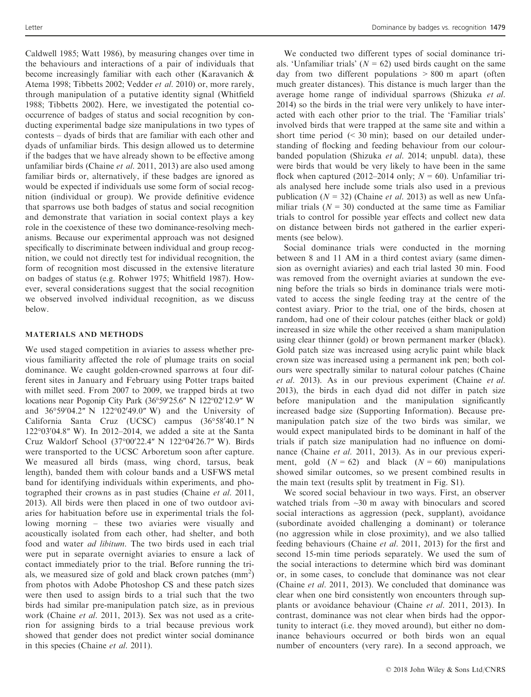Caldwell 1985; Watt 1986), by measuring changes over time in the behaviours and interactions of a pair of individuals that become increasingly familiar with each other (Karavanich & Atema 1998; Tibbetts 2002; Vedder et al. 2010) or, more rarely, through manipulation of a putative identity signal (Whitfield 1988; Tibbetts 2002). Here, we investigated the potential cooccurrence of badges of status and social recognition by conducting experimental badge size manipulations in two types of contests – dyads of birds that are familiar with each other and dyads of unfamiliar birds. This design allowed us to determine if the badges that we have already shown to be effective among unfamiliar birds (Chaine et al. 2011, 2013) are also used among familiar birds or, alternatively, if these badges are ignored as would be expected if individuals use some form of social recognition (individual or group). We provide definitive evidence that sparrows use both badges of status and social recognition and demonstrate that variation in social context plays a key role in the coexistence of these two dominance-resolving mechanisms. Because our experimental approach was not designed specifically to discriminate between individual and group recognition, we could not directly test for individual recognition, the form of recognition most discussed in the extensive literature on badges of status (e.g. Rohwer 1975; Whitfield 1987). However, several considerations suggest that the social recognition we observed involved individual recognition, as we discuss below.

#### MATERIALS AND METHODS

We used staged competition in aviaries to assess whether previous familiarity affected the role of plumage traits on social dominance. We caught golden-crowned sparrows at four different sites in January and February using Potter traps baited with millet seed. From 2007 to 2009, we trapped birds at two locations near Pogonip City Park (36°59'25.6" N 122°02'12.9" W and  $36^{\circ}59'04.2''$  N  $122^{\circ}02'49.0''$  W) and the University of California Santa Cruz (UCSC) campus (36°58'40.1" N  $122^{\circ}03'04.8''$  W). In 2012–2014, we added a site at the Santa Cruz Waldorf School (37°00'22.4" N 122°04'26.7" W). Birds were transported to the UCSC Arboretum soon after capture. We measured all birds (mass, wing chord, tarsus, beak length), banded them with colour bands and a USFWS metal band for identifying individuals within experiments, and photographed their crowns as in past studies (Chaine et al. 2011, 2013). All birds were then placed in one of two outdoor aviaries for habituation before use in experimental trials the following morning – these two aviaries were visually and acoustically isolated from each other, had shelter, and both food and water ad libitum. The two birds used in each trial were put in separate overnight aviaries to ensure a lack of contact immediately prior to the trial. Before running the trials, we measured size of gold and black crown patches  $\text{(mm)}^2$ ) from photos with Adobe Photoshop CS and these patch sizes were then used to assign birds to a trial such that the two birds had similar pre-manipulation patch size, as in previous work (Chaine et al. 2011, 2013). Sex was not used as a criterion for assigning birds to a trial because previous work showed that gender does not predict winter social dominance in this species (Chaine et al. 2011).

We conducted two different types of social dominance trials. 'Unfamiliar trials' ( $N = 62$ ) used birds caught on the same day from two different populations  $> 800$  m apart (often much greater distances). This distance is much larger than the average home range of individual sparrows (Shizuka et al. 2014) so the birds in the trial were very unlikely to have interacted with each other prior to the trial. The 'Familiar trials' involved birds that were trapped at the same site and within a short time period (< 30 min); based on our detailed understanding of flocking and feeding behaviour from our colourbanded population (Shizuka et al. 2014; unpubl. data), these were birds that would be very likely to have been in the same flock when captured (2012–2014 only;  $N = 60$ ). Unfamiliar trials analysed here include some trials also used in a previous publication ( $N = 32$ ) (Chaine *et al.* 2013) as well as new Unfamiliar trials  $(N = 30)$  conducted at the same time as Familiar trials to control for possible year effects and collect new data on distance between birds not gathered in the earlier experiments (see below).

Social dominance trials were conducted in the morning between 8 and 11 AM in a third contest aviary (same dimension as overnight aviaries) and each trial lasted 30 min. Food was removed from the overnight aviaries at sundown the evening before the trials so birds in dominance trials were motivated to access the single feeding tray at the centre of the contest aviary. Prior to the trial, one of the birds, chosen at random, had one of their colour patches (either black or gold) increased in size while the other received a sham manipulation using clear thinner (gold) or brown permanent marker (black). Gold patch size was increased using acrylic paint while black crown size was increased using a permanent ink pen; both colours were spectrally similar to natural colour patches (Chaine et al. 2013). As in our previous experiment (Chaine et al. 2013), the birds in each dyad did not differ in patch size before manipulation and the manipulation significantly increased badge size (Supporting Information). Because premanipulation patch size of the two birds was similar, we would expect manipulated birds to be dominant in half of the trials if patch size manipulation had no influence on dominance (Chaine et al. 2011, 2013). As in our previous experiment, gold  $(N = 62)$  and black  $(N = 60)$  manipulations showed similar outcomes, so we present combined results in the main text (results split by treatment in Fig. S1).

We scored social behaviour in two ways. First, an observer watched trials from ~30 m away with binoculars and scored social interactions as aggression (peck, supplant), avoidance (subordinate avoided challenging a dominant) or tolerance (no aggression while in close proximity), and we also tallied feeding behaviours (Chaine et al. 2011, 2013) for the first and second 15-min time periods separately. We used the sum of the social interactions to determine which bird was dominant or, in some cases, to conclude that dominance was not clear (Chaine et al. 2011, 2013). We concluded that dominance was clear when one bird consistently won encounters through supplants or avoidance behaviour (Chaine et al. 2011, 2013). In contrast, dominance was not clear when birds had the opportunity to interact (i.e. they moved around), but either no dominance behaviours occurred or both birds won an equal number of encounters (very rare). In a second approach, we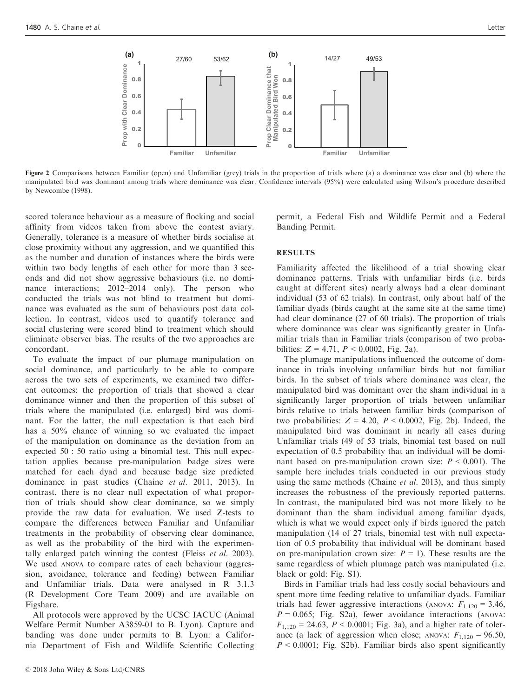

Figure 2 Comparisons between Familiar (open) and Unfamiliar (grey) trials in the proportion of trials where (a) a dominance was clear and (b) where the manipulated bird was dominant among trials where dominance was clear. Confidence intervals (95%) were calculated using Wilson's procedure described by Newcombe (1998).

scored tolerance behaviour as a measure of flocking and social affinity from videos taken from above the contest aviary. Generally, tolerance is a measure of whether birds socialise at close proximity without any aggression, and we quantified this as the number and duration of instances where the birds were within two body lengths of each other for more than 3 seconds and did not show aggressive behaviours (i.e. no dominance interactions; 2012–2014 only). The person who conducted the trials was not blind to treatment but dominance was evaluated as the sum of behaviours post data collection. In contrast, videos used to quantify tolerance and social clustering were scored blind to treatment which should eliminate observer bias. The results of the two approaches are concordant.

To evaluate the impact of our plumage manipulation on social dominance, and particularly to be able to compare across the two sets of experiments, we examined two different outcomes: the proportion of trials that showed a clear dominance winner and then the proportion of this subset of trials where the manipulated (i.e. enlarged) bird was dominant. For the latter, the null expectation is that each bird has a 50% chance of winning so we evaluated the impact of the manipulation on dominance as the deviation from an expected 50 : 50 ratio using a binomial test. This null expectation applies because pre-manipulation badge sizes were matched for each dyad and because badge size predicted dominance in past studies (Chaine et al. 2011, 2013). In contrast, there is no clear null expectation of what proportion of trials should show clear dominance, so we simply provide the raw data for evaluation. We used Z-tests to compare the differences between Familiar and Unfamiliar treatments in the probability of observing clear dominance, as well as the probability of the bird with the experimentally enlarged patch winning the contest (Fleiss et al. 2003). We used ANOVA to compare rates of each behaviour (aggression, avoidance, tolerance and feeding) between Familiar and Unfamiliar trials. Data were analysed in R 3.1.3 (R Development Core Team 2009) and are available on Figshare.

All protocols were approved by the UCSC IACUC (Animal Welfare Permit Number A3859-01 to B. Lyon). Capture and banding was done under permits to B. Lyon: a California Department of Fish and Wildlife Scientific Collecting permit, a Federal Fish and Wildlife Permit and a Federal Banding Permit.

#### RESULTS

Familiarity affected the likelihood of a trial showing clear dominance patterns. Trials with unfamiliar birds (i.e. birds caught at different sites) nearly always had a clear dominant individual (53 of 62 trials). In contrast, only about half of the familiar dyads (birds caught at the same site at the same time) had clear dominance (27 of 60 trials). The proportion of trials where dominance was clear was significantly greater in Unfamiliar trials than in Familiar trials (comparison of two probabilities:  $Z = 4.71$ ,  $P < 0.0002$ , Fig. 2a).

The plumage manipulations influenced the outcome of dominance in trials involving unfamiliar birds but not familiar birds. In the subset of trials where dominance was clear, the manipulated bird was dominant over the sham individual in a significantly larger proportion of trials between unfamiliar birds relative to trials between familiar birds (comparison of two probabilities:  $Z = 4.20$ ,  $P < 0.0002$ , Fig. 2b). Indeed, the manipulated bird was dominant in nearly all cases during Unfamiliar trials (49 of 53 trials, binomial test based on null expectation of 0.5 probability that an individual will be dominant based on pre-manipulation crown size:  $P < 0.001$ ). The sample here includes trials conducted in our previous study using the same methods (Chaine et al. 2013), and thus simply increases the robustness of the previously reported patterns. In contrast, the manipulated bird was not more likely to be dominant than the sham individual among familiar dyads, which is what we would expect only if birds ignored the patch manipulation (14 of 27 trials, binomial test with null expectation of 0.5 probability that individual will be dominant based on pre-manipulation crown size:  $P = 1$ ). These results are the same regardless of which plumage patch was manipulated (i.e. black or gold: Fig. S1).

Birds in Familiar trials had less costly social behaviours and spent more time feeding relative to unfamiliar dyads. Familiar trials had fewer aggressive interactions (ANOVA:  $F_{1,120} = 3.46$ ,  $P = 0.065$ ; Fig. S2a), fewer avoidance interactions (ANOVA:  $F_{1,120} = 24.63$ ,  $P < 0.0001$ ; Fig. 3a), and a higher rate of tolerance (a lack of aggression when close; ANOVA:  $F_{1,120} = 96.50$ ,  $P < 0.0001$ ; Fig. S2b). Familiar birds also spent significantly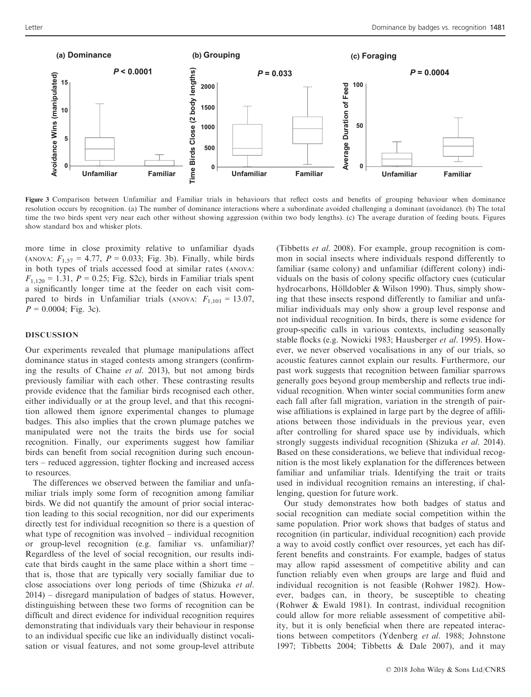

Figure 3 Comparison between Unfamiliar and Familiar trials in behaviours that reflect costs and benefits of grouping behaviour when dominance resolution occurs by recognition. (a) The number of dominance interactions where a subordinate avoided challenging a dominant (avoidance). (b) The total time the two birds spent very near each other without showing aggression (within two body lengths). (c) The average duration of feeding bouts. Figures show standard box and whisker plots.

more time in close proximity relative to unfamiliar dyads (ANOVA:  $F_{1,57} = 4.77$ ,  $P = 0.033$ ; Fig. 3b). Finally, while birds in both types of trials accessed food at similar rates (ANOVA:  $F_{1,120} = 1.31$ ,  $P = 0.25$ ; Fig. S2c), birds in Familiar trials spent a significantly longer time at the feeder on each visit compared to birds in Unfamiliar trials (ANOVA:  $F_{1,101} = 13.07$ ,  $P = 0.0004$ ; Fig. 3c).

#### DISCUSSION

Our experiments revealed that plumage manipulations affect dominance status in staged contests among strangers (confirming the results of Chaine et al. 2013), but not among birds previously familiar with each other. These contrasting results provide evidence that the familiar birds recognised each other, either individually or at the group level, and that this recognition allowed them ignore experimental changes to plumage badges. This also implies that the crown plumage patches we manipulated were not the traits the birds use for social recognition. Finally, our experiments suggest how familiar birds can benefit from social recognition during such encounters – reduced aggression, tighter flocking and increased access to resources.

The differences we observed between the familiar and unfamiliar trials imply some form of recognition among familiar birds. We did not quantify the amount of prior social interaction leading to this social recognition, nor did our experiments directly test for individual recognition so there is a question of what type of recognition was involved – individual recognition or group-level recognition (e.g. familiar vs. unfamiliar)? Regardless of the level of social recognition, our results indicate that birds caught in the same place within a short time – that is, those that are typically very socially familiar due to close associations over long periods of time (Shizuka et al. 2014) – disregard manipulation of badges of status. However, distinguishing between these two forms of recognition can be difficult and direct evidence for individual recognition requires demonstrating that individuals vary their behaviour in response to an individual specific cue like an individually distinct vocalisation or visual features, and not some group-level attribute

(Tibbetts et al. 2008). For example, group recognition is common in social insects where individuals respond differently to familiar (same colony) and unfamiliar (different colony) individuals on the basis of colony specific olfactory cues (cuticular hydrocarbons, Hölldobler & Wilson 1990). Thus, simply showing that these insects respond differently to familiar and unfamiliar individuals may only show a group level response and not individual recognition. In birds, there is some evidence for group-specific calls in various contexts, including seasonally stable flocks (e.g. Nowicki 1983; Hausberger et al. 1995). However, we never observed vocalisations in any of our trials, so acoustic features cannot explain our results. Furthermore, our past work suggests that recognition between familiar sparrows generally goes beyond group membership and reflects true individual recognition. When winter social communities form anew each fall after fall migration, variation in the strength of pairwise affiliations is explained in large part by the degree of affiliations between those individuals in the previous year, even after controlling for shared space use by individuals, which strongly suggests individual recognition (Shizuka et al. 2014). Based on these considerations, we believe that individual recognition is the most likely explanation for the differences between familiar and unfamiliar trials. Identifying the trait or traits used in individual recognition remains an interesting, if challenging, question for future work.

Our study demonstrates how both badges of status and social recognition can mediate social competition within the same population. Prior work shows that badges of status and recognition (in particular, individual recognition) each provide a way to avoid costly conflict over resources, yet each has different benefits and constraints. For example, badges of status may allow rapid assessment of competitive ability and can function reliably even when groups are large and fluid and individual recognition is not feasible (Rohwer 1982). However, badges can, in theory, be susceptible to cheating (Rohwer & Ewald 1981). In contrast, individual recognition could allow for more reliable assessment of competitive ability, but it is only beneficial when there are repeated interactions between competitors (Ydenberg et al. 1988; Johnstone 1997; Tibbetts 2004; Tibbetts & Dale 2007), and it may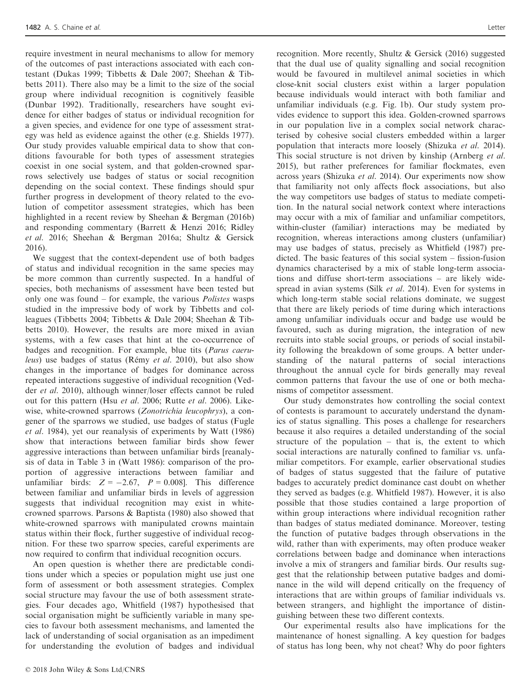require investment in neural mechanisms to allow for memory of the outcomes of past interactions associated with each contestant (Dukas 1999; Tibbetts & Dale 2007; Sheehan & Tibbetts 2011). There also may be a limit to the size of the social group where individual recognition is cognitively feasible (Dunbar 1992). Traditionally, researchers have sought evidence for either badges of status or individual recognition for a given species, and evidence for one type of assessment strategy was held as evidence against the other (e.g. Shields 1977). Our study provides valuable empirical data to show that conditions favourable for both types of assessment strategies coexist in one social system, and that golden-crowned sparrows selectively use badges of status or social recognition depending on the social context. These findings should spur further progress in development of theory related to the evolution of competitor assessment strategies, which has been highlighted in a recent review by Sheehan & Bergman (2016b) and responding commentary (Barrett & Henzi 2016; Ridley et al. 2016; Sheehan & Bergman 2016a; Shultz & Gersick 2016).

We suggest that the context-dependent use of both badges of status and individual recognition in the same species may be more common than currently suspected. In a handful of species, both mechanisms of assessment have been tested but only one was found – for example, the various Polistes wasps studied in the impressive body of work by Tibbetts and colleagues (Tibbetts 2004; Tibbetts & Dale 2004; Sheehan & Tibbetts 2010). However, the results are more mixed in avian systems, with a few cases that hint at the co-occurrence of badges and recognition. For example, blue tits (Parus caeruleus) use badges of status (Rémy et al. 2010), but also show changes in the importance of badges for dominance across repeated interactions suggestive of individual recognition (Vedder et al. 2010), although winner/loser effects cannot be ruled out for this pattern (Hsu et al. 2006; Rutte et al. 2006). Likewise, white-crowned sparrows (Zonotrichia leucophrys), a congener of the sparrows we studied, use badges of status (Fugle et al. 1984), yet our reanalysis of experiments by Watt (1986) show that interactions between familiar birds show fewer aggressive interactions than between unfamiliar birds [reanalysis of data in Table 3 in (Watt 1986): comparison of the proportion of aggressive interactions between familiar and unfamiliar birds:  $Z = -2.67$ ,  $P = 0.008$ ]. This difference between familiar and unfamiliar birds in levels of aggression suggests that individual recognition may exist in whitecrowned sparrows. Parsons & Baptista (1980) also showed that white-crowned sparrows with manipulated crowns maintain status within their flock, further suggestive of individual recognition. For these two sparrow species, careful experiments are now required to confirm that individual recognition occurs.

An open question is whether there are predictable conditions under which a species or population might use just one form of assessment or both assessment strategies. Complex social structure may favour the use of both assessment strategies. Four decades ago, Whitfield (1987) hypothesised that social organisation might be sufficiently variable in many species to favour both assessment mechanisms, and lamented the lack of understanding of social organisation as an impediment for understanding the evolution of badges and individual

recognition. More recently, Shultz & Gersick (2016) suggested that the dual use of quality signalling and social recognition would be favoured in multilevel animal societies in which close-knit social clusters exist within a larger population because individuals would interact with both familiar and unfamiliar individuals (e.g. Fig. 1b). Our study system provides evidence to support this idea. Golden-crowned sparrows in our population live in a complex social network characterised by cohesive social clusters embedded within a larger population that interacts more loosely (Shizuka et al. 2014). This social structure is not driven by kinship (Arnberg et al. 2015), but rather preferences for familiar flockmates, even across years (Shizuka et al. 2014). Our experiments now show that familiarity not only affects flock associations, but also the way competitors use badges of status to mediate competition. In the natural social network context where interactions may occur with a mix of familiar and unfamiliar competitors, within-cluster (familiar) interactions may be mediated by recognition, whereas interactions among clusters (unfamiliar) may use badges of status, precisely as Whitfield (1987) predicted. The basic features of this social system – fission-fusion dynamics characterised by a mix of stable long-term associations and diffuse short-term associations – are likely widespread in avian systems (Silk et al. 2014). Even for systems in which long-term stable social relations dominate, we suggest that there are likely periods of time during which interactions among unfamiliar individuals occur and badge use would be favoured, such as during migration, the integration of new recruits into stable social groups, or periods of social instability following the breakdown of some groups. A better understanding of the natural patterns of social interactions throughout the annual cycle for birds generally may reveal common patterns that favour the use of one or both mechanisms of competitor assessment.

Our study demonstrates how controlling the social context of contests is paramount to accurately understand the dynamics of status signalling. This poses a challenge for researchers because it also requires a detailed understanding of the social structure of the population – that is, the extent to which social interactions are naturally confined to familiar vs. unfamiliar competitors. For example, earlier observational studies of badges of status suggested that the failure of putative badges to accurately predict dominance cast doubt on whether they served as badges (e.g. Whitfield 1987). However, it is also possible that those studies contained a large proportion of within group interactions where individual recognition rather than badges of status mediated dominance. Moreover, testing the function of putative badges through observations in the wild, rather than with experiments, may often produce weaker correlations between badge and dominance when interactions involve a mix of strangers and familiar birds. Our results suggest that the relationship between putative badges and dominance in the wild will depend critically on the frequency of interactions that are within groups of familiar individuals vs. between strangers, and highlight the importance of distinguishing between these two different contexts.

Our experimental results also have implications for the maintenance of honest signalling. A key question for badges of status has long been, why not cheat? Why do poor fighters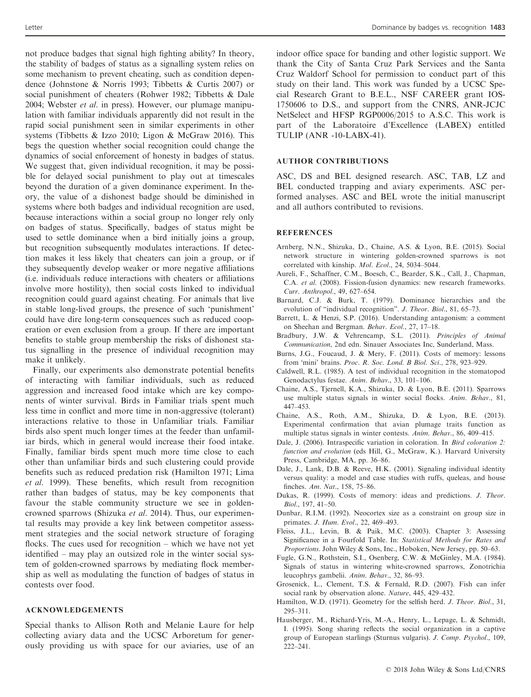not produce badges that signal high fighting ability? In theory, the stability of badges of status as a signalling system relies on some mechanism to prevent cheating, such as condition dependence (Johnstone & Norris 1993; Tibbetts & Curtis 2007) or social punishment of cheaters (Rohwer 1982; Tibbetts & Dale 2004; Webster et al. in press). However, our plumage manipulation with familiar individuals apparently did not result in the rapid social punishment seen in similar experiments in other systems (Tibbetts & Izzo 2010; Ligon & McGraw 2016). This begs the question whether social recognition could change the dynamics of social enforcement of honesty in badges of status. We suggest that, given individual recognition, it may be possible for delayed social punishment to play out at timescales beyond the duration of a given dominance experiment. In theory, the value of a dishonest badge should be diminished in systems where both badges and individual recognition are used, because interactions within a social group no longer rely only on badges of status. Specifically, badges of status might be used to settle dominance when a bird initially joins a group, but recognition subsequently modulates interactions. If detection makes it less likely that cheaters can join a group, or if they subsequently develop weaker or more negative affiliations (i.e. individuals reduce interactions with cheaters or affiliations involve more hostility), then social costs linked to individual recognition could guard against cheating. For animals that live in stable long-lived groups, the presence of such 'punishment' could have dire long-term consequences such as reduced cooperation or even exclusion from a group. If there are important benefits to stable group membership the risks of dishonest status signalling in the presence of individual recognition may make it unlikely.

Finally, our experiments also demonstrate potential benefits of interacting with familiar individuals, such as reduced aggression and increased food intake which are key components of winter survival. Birds in Familiar trials spent much less time in conflict and more time in non-aggressive (tolerant) interactions relative to those in Unfamiliar trials. Familiar birds also spent much longer times at the feeder than unfamiliar birds, which in general would increase their food intake. Finally, familiar birds spent much more time close to each other than unfamiliar birds and such clustering could provide benefits such as reduced predation risk (Hamilton 1971; Lima et al. 1999). These benefits, which result from recognition rather than badges of status, may be key components that favour the stable community structure we see in goldencrowned sparrows (Shizuka et al. 2014). Thus, our experimental results may provide a key link between competitor assessment strategies and the social network structure of foraging flocks. The cues used for recognition – which we have not yet identified – may play an outsized role in the winter social system of golden-crowned sparrows by mediating flock membership as well as modulating the function of badges of status in contests over food.

#### ACKNOWLEDGEMENTS

Special thanks to Allison Roth and Melanie Laure for help collecting aviary data and the UCSC Arboretum for generously providing us with space for our aviaries, use of an

indoor office space for banding and other logistic support. We thank the City of Santa Cruz Park Services and the Santa Cruz Waldorf School for permission to conduct part of this study on their land. This work was funded by a UCSC Special Research Grant to B.E.L., NSF CAREER grant IOS-1750606 to D.S., and support from the CNRS, ANR-JCJC NetSelect and HFSP RGP0006/2015 to A.S.C. This work is part of the Laboratoire d'Excellence (LABEX) entitled TULIP (ANR -10-LABX-41).

### AUTHOR CONTRIBUTIONS

ASC, DS and BEL designed research. ASC, TAB, LZ and BEL conducted trapping and aviary experiments. ASC performed analyses. ASC and BEL wrote the initial manuscript and all authors contributed to revisions.

#### **REFERENCES**

- Arnberg, N.N., Shizuka, D., Chaine, A.S. & Lyon, B.E. (2015). Social network structure in wintering golden-crowned sparrows is not correlated with kinship. Mol. Ecol., 24, 5034–5044.
- Aureli, F., Schaffner, C.M., Boesch, C., Bearder, S.K., Call, J., Chapman, C.A. et al. (2008). Fission-fusion dynamics: new research frameworks. Curr. Anthropol., 49, 627–654.
- Barnard, C.J. & Burk, T. (1979). Dominance hierarchies and the evolution of "individual recognition". J. Theor. Biol., 81, 65–73.
- Barrett, L. & Henzi, S.P. (2016). Understanding antagonism: a comment on Sheehan and Bergman. Behav. Ecol., 27, 17–18.
- Bradbury, J.W. & Vehrencamp, S.L. (2011). Principles of Animal Communication, 2nd edn. Sinauer Associates Inc, Sunderland, Mass.
- Burns, J.G., Foucaud, J. & Mery, F. (2011). Costs of memory: lessons from 'mini' brains. Proc. R. Soc. Lond. B Biol. Sci., 278, 923–929.
- Caldwell, R.L. (1985). A test of individual recognition in the stomatopod Genodactylus festae. Anim. Behav., 33, 101–106.
- Chaine, A.S., Tjernell, K.A., Shizuka, D. & Lyon, B.E. (2011). Sparrows use multiple status signals in winter social flocks. Anim. Behav., 81, 447–453.
- Chaine, A.S., Roth, A.M., Shizuka, D. & Lyon, B.E. (2013). Experimental confirmation that avian plumage traits function as multiple status signals in winter contests. Anim. Behav., 86, 409–415.
- Dale, J. (2006). Intraspecific variation in coloration. In Bird coloration 2: function and evolution (eds Hill, G., McGraw, K.). Harvard University Press, Cambridge, MA, pp. 36–86.
- Dale, J., Lank, D.B. & Reeve, H.K. (2001). Signaling individual identity versus quality: a model and case studies with ruffs, queleas, and house finches. Am. Nat., 158, 75–86.
- Dukas, R. (1999). Costs of memory: ideas and predictions. J. Theor. Biol., 197, 41–50.
- Dunbar, R.I.M. (1992). Neocortex size as a constraint on group size in primates. J. Hum. Evol., 22, 469–493.
- Fleiss, J.L., Levin, B. & Paik, M.C. (2003). Chapter 3: Assessing Significance in a Fourfold Table. In: Statistical Methods for Rates and Proportions. John Wiley & Sons, Inc., Hoboken, New Jersey, pp. 50–63.
- Fugle, G.N., Rothstein, S.I., Osenberg, C.W. & McGinley, M.A. (1984). Signals of status in wintering white-crowned sparrows, Zonotrichia leucophrys gambelii. Anim. Behav., 32, 86–93.
- Grosenick, L., Clement, T.S. & Fernald, R.D. (2007). Fish can infer social rank by observation alone. Nature, 445, 429–432.
- Hamilton, W.D. (1971). Geometry for the selfish herd. J. Theor. Biol., 31, 295–311.
- Hausberger, M., Richard-Yris, M.-A., Henry, L., Lepage, L. & Schmidt, I. (1995). Song sharing reflects the social organization in a captive group of European starlings (Sturnus vulgaris). J. Comp. Psychol., 109, 222–241.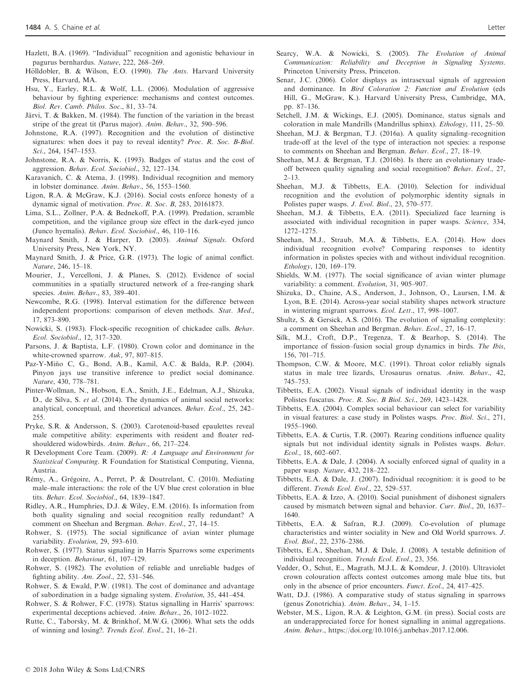- Hazlett, B.A. (1969). "Individual" recognition and agonistic behaviour in pagurus bernhardus. Nature, 222, 268–269.
- Hölldobler, B. & Wilson, E.O. (1990). The Ants. Harvard University Press, Harvard, MA.
- Hsu, Y., Earley, R.L. & Wolf, L.L. (2006). Modulation of aggressive behaviour by fighting experience: mechanisms and contest outcomes. Biol. Rev. Camb. Philos. Soc., 81, 33–74.
- Järvi, T. & Bakken, M. (1984). The function of the variation in the breast stripe of the great tit (Parus major). Anim. Behav., 32, 590–596.
- Johnstone, R.A. (1997). Recognition and the evolution of distinctive signatures: when does it pay to reveal identity? Proc. R. Soc. B-Biol. Sci., 264, 1547–1553.
- Johnstone, R.A. & Norris, K. (1993). Badges of status and the cost of aggression. Behav. Ecol. Sociobiol., 32, 127–134.
- Karavanich, C. & Atema, J. (1998). Individual recognition and memory in lobster dominance. Anim. Behav., 56, 1553–1560.
- Ligon, R.A. & McGraw, K.J. (2016). Social costs enforce honesty of a dynamic signal of motivation. Proc. R. Soc. B, 283, 20161873.
- Lima, S.L., Zollner, P.A. & Bednekoff, P.A. (1999). Predation, scramble competition, and the vigilance group size effect in the dark-eyed junco (Junco hyemalis). Behav. Ecol. Sociobiol., 46, 110–116.
- Maynard Smith, J. & Harper, D. (2003). Animal Signals. Oxford University Press, New York, NY.
- Maynard Smith, J. & Price, G.R. (1973). The logic of animal conflict. Nature, 246, 15–18.
- Mourier, J., Vercelloni, J. & Planes, S. (2012). Evidence of social communities in a spatially structured network of a free-ranging shark species. Anim. Behav., 83, 389–401.
- Newcombe, R.G. (1998). Interval estimation for the difference between independent proportions: comparison of eleven methods. Stat. Med., 17, 873–890.
- Nowicki, S. (1983). Flock-specific recognition of chickadee calls. Behav. Ecol. Sociobiol., 12, 317–320.
- Parsons, J. & Baptista, L.F. (1980). Crown color and dominance in the white-crowned sparrow. Auk, 97, 807–815.
- Paz-Y-Miño C, G., Bond, A.B., Kamil, A.C. & Balda, R.P. (2004). Pinyon jays use transitive inference to predict social dominance. Nature, 430, 778–781.
- Pinter-Wollman, N., Hobson, E.A., Smith, J.E., Edelman, A.J., Shizuka, D., de Silva, S. et al. (2014). The dynamics of animal social networks: analytical, conceptual, and theoretical advances. Behav. Ecol., 25, 242– 255.
- Pryke, S.R. & Andersson, S. (2003). Carotenoid-based epaulettes reveal male competitive ability: experiments with resident and floater redshouldered widowbirds. Anim. Behav., 66, 217–224.
- R Development Core Team. (2009). R: A Language and Environment for Statistical Computing. R Foundation for Statistical Computing, Vienna, Austria.
- Rémy, A., Grégoire, A., Perret, P. & Doutrelant, C. (2010). Mediating male–male interactions: the role of the UV blue crest coloration in blue tits. Behav. Ecol. Sociobiol., 64, 1839–1847.
- Ridley, A.R., Humphries, D.J. & Wiley, E.M. (2016). Is information from both quality signaling and social recognition really redundant? A comment on Sheehan and Bergman. Behav. Ecol., 27, 14–15.
- Rohwer, S. (1975). The social significance of avian winter plumage variability. Evolution, 29, 593–610.
- Rohwer, S. (1977). Status signaling in Harris Sparrows some experiments in deception. Behaviour, 61, 107–129.
- Rohwer, S. (1982). The evolution of reliable and unreliable badges of fighting ability. Am. Zool., 22, 531–546.
- Rohwer, S. & Ewald, P.W. (1981). The cost of dominance and advantage of subordination in a badge signaling system. Evolution, 35, 441–454.
- Rohwer, S. & Rohwer, F.C. (1978). Status signalling in Harris' sparrows: experimental deceptions achieved. Anim. Behav., 26, 1012–1022.
- Rutte, C., Taborsky, M. & Brinkhof, M.W.G. (2006). What sets the odds of winning and losing?. Trends Ecol. Evol., 21, 16–21.
- Senar, J.C. (2006). Color displays as intrasexual signals of aggression and dominance. In Bird Coloration 2: Function and Evolution (eds Hill, G., McGraw, K.). Harvard University Press, Cambridge, MA, pp. 87–136.
- Setchell, J.M. & Wickings, E.J. (2005). Dominance, status signals and coloration in male Mandrills (Mandrillus sphinx). Ethology, 111, 25–50.
- Sheehan, M.J. & Bergman, T.J. (2016a). A quality signaling–recognition trade-off at the level of the type of interaction not species: a response to comments on Sheehan and Bergman. Behav. Ecol., 27, 18–19.
- Sheehan, M.J. & Bergman, T.J. (2016b). Is there an evolutionary tradeoff between quality signaling and social recognition? Behav. Ecol., 27,  $2 - 13$ .
- Sheehan, M.J. & Tibbetts, E.A. (2010). Selection for individual recognition and the evolution of polymorphic identity signals in Polistes paper wasps. J. Evol. Biol., 23, 570–577.
- Sheehan, M.J. & Tibbetts, E.A. (2011). Specialized face learning is associated with individual recognition in paper wasps. Science, 334, 1272–1275.
- Sheehan, M.J., Straub, M.A. & Tibbetts, E.A. (2014). How does individual recognition evolve? Comparing responses to identity information in polistes species with and without individual recognition. Ethology, 120, 169–179.
- Shields, W.M. (1977). The social significance of avian winter plumage variability: a comment. Evolution, 31, 905–907.
- Shizuka, D., Chaine, A.S., Anderson, J., Johnson, O., Laursen, I.M. & Lyon, B.E. (2014). Across-year social stability shapes network structure in wintering migrant sparrows. Ecol. Lett., 17, 998–1007.
- Shultz, S. & Gersick, A.S. (2016). The evolution of signaling complexity: a comment on Sheehan and Bergman. Behav. Ecol., 27, 16–17.
- Silk, M.J., Croft, D.P., Tregenza, T. & Bearhop, S. (2014). The importance of fission–fusion social group dynamics in birds. The Ibis, 156, 701–715.
- Thompson, C.W. & Moore, M.C. (1991). Throat color reliably signals status in male tree lizards, Urosaurus ornatus. Anim. Behav., 42, 745–753.
- Tibbetts, E.A. (2002). Visual signals of individual identity in the wasp Polistes fuscatus. Proc. R. Soc. B Biol. Sci., 269, 1423–1428.
- Tibbetts, E.A. (2004). Complex social behaviour can select for variability in visual features: a case study in Polistes wasps. Proc. Biol. Sci., 271, 1955–1960.
- Tibbetts, E.A. & Curtis, T.R. (2007). Rearing conditions influence quality signals but not individual identity signals in Polistes wasps. Behav. Ecol., 18, 602–607.
- Tibbetts, E.A. & Dale, J. (2004). A socially enforced signal of quality in a paper wasp. Nature, 432, 218–222.
- Tibbetts, E.A. & Dale, J. (2007). Individual recognition: it is good to be different. Trends Ecol. Evol., 22, 529-537.
- Tibbetts, E.A. & Izzo, A. (2010). Social punishment of dishonest signalers caused by mismatch between signal and behavior. Curr. Biol., 20, 1637– 1640.
- Tibbetts, E.A. & Safran, R.J. (2009). Co-evolution of plumage characteristics and winter sociality in New and Old World sparrows. J. Evol. Biol., 22, 2376–2386.
- Tibbetts, E.A., Sheehan, M.J. & Dale, J. (2008). A testable definition of individual recognition. Trends Ecol. Evol., 23, 356.
- Vedder, O., Schut, E., Magrath, M.J.L. & Komdeur, J. (2010). Ultraviolet crown colouration affects contest outcomes among male blue tits, but only in the absence of prior encounters. Funct. Ecol., 24, 417–425.
- Watt, D.J. (1986). A comparative study of status signaling in sparrows (genus Zonotrichia). Anim. Behav., 34, 1–15.
- Webster, M.S., Ligon, R.A. & Leighton, G.M. (in press). Social costs are an underappreciated force for honest signalling in animal aggregations. Anim. Behav., [https://doi.org/10.1016/j.anbehav.2017.12.006.](https://doi.org/10.1016/j.anbehav.2017.12.006)